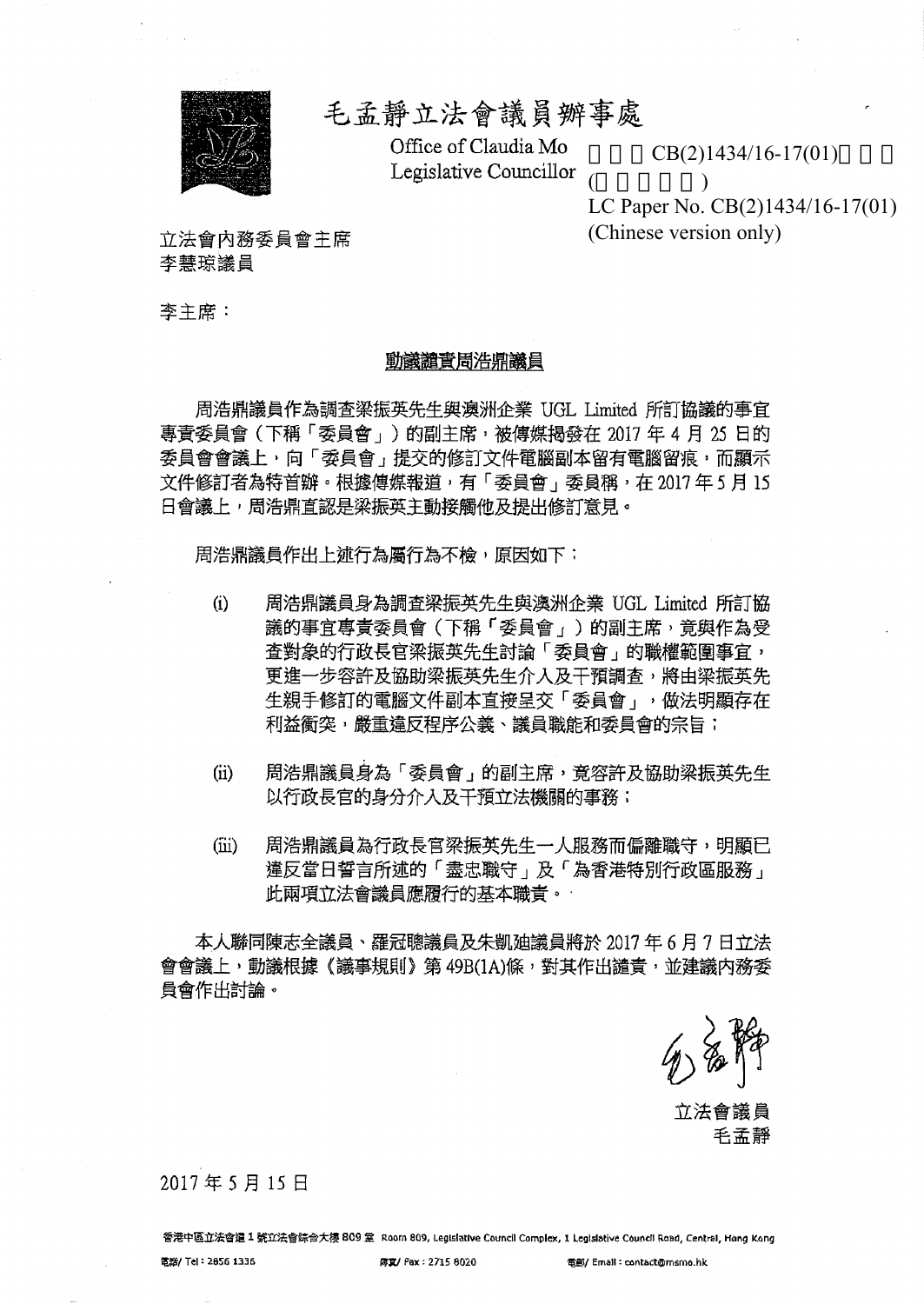

# 毛孟靜立法會議員辦事處

Office of Claudia Mo Legislative Councillor

 $CB(2)1434/16-17(01)$ 

 $($   $)$ LC Paper No. CB(2)1434/16-17(01) (Chinese version only)

立法會內務委員會主席 李慧琼議員

李主席:

### 動議譴責周浩鼎議員

周浩鼎議員作為調査梁振英先生與澳洲企業 UGL Limited 所訂協議的事宜 專責委員會(下稱「委員會」)的副主席,被傳媒揭發在 2017 年 4 月 25 日的 委員會會議上,向「委員會,提交的修訂文件電腦副本留有電腦留痕,而顯示 文件修訂者為特首辦。根據傳媒報道,有「委員會」委員稱,在 2017年5月 15 日會議上,周浩鼎首認是梁振英主動接觸他及提出修訂意見。

周浩鼎議員作出上述行為屬行為不檢,原因如下:

- $(i)$  = 周浩鼎議員身為調査梁振英先生與澳洲企業 UGL Limited 所訂協 議的事宜專責委員會(下稱「委員會」)的副主席,竟與作為受 查對象的行政長官梁振英先生討論「委員會」的職權範圍事宜, 更進一步容許及協助梁振英先生介入及干預調查,將由梁振英先 生親手修訂的電腦文件副本直接呈交「委員會」,做法明顯存在 利益衝突, 嚴重違反程序公義、議員職能和委員會的宗旨;
- (ii) 周浩鼎議員身為「委員會」的副主席, 竟容許及協助梁振英先生 以行政長官的身分介入及干預立法機關的事務;
- (ii) 周浩鼎議員為行政長官梁振英先生一人服務而偏離職守,明顯已 違反當日誓言所述的「盡忠職守」及「為香港特別行政區服務」 此兩項立法會議員應履行的基本職責。

本人聯同陳志全議員、羅冠聰議員及朱凱廸議員將於 2017 年 6 月 7 日立法 會會議上,動議根據《議事規則》第 49B(1A)條,對其作出譴責,並建議内務委 員會作出討論。

立法會議員

毛孟靜

2017年5月15日

香港中區立法會道 1 號立法會综合大樓 809 室 Room 809, Legislative Council Complex, 1 Legislative Council Road, Central, Hong Kong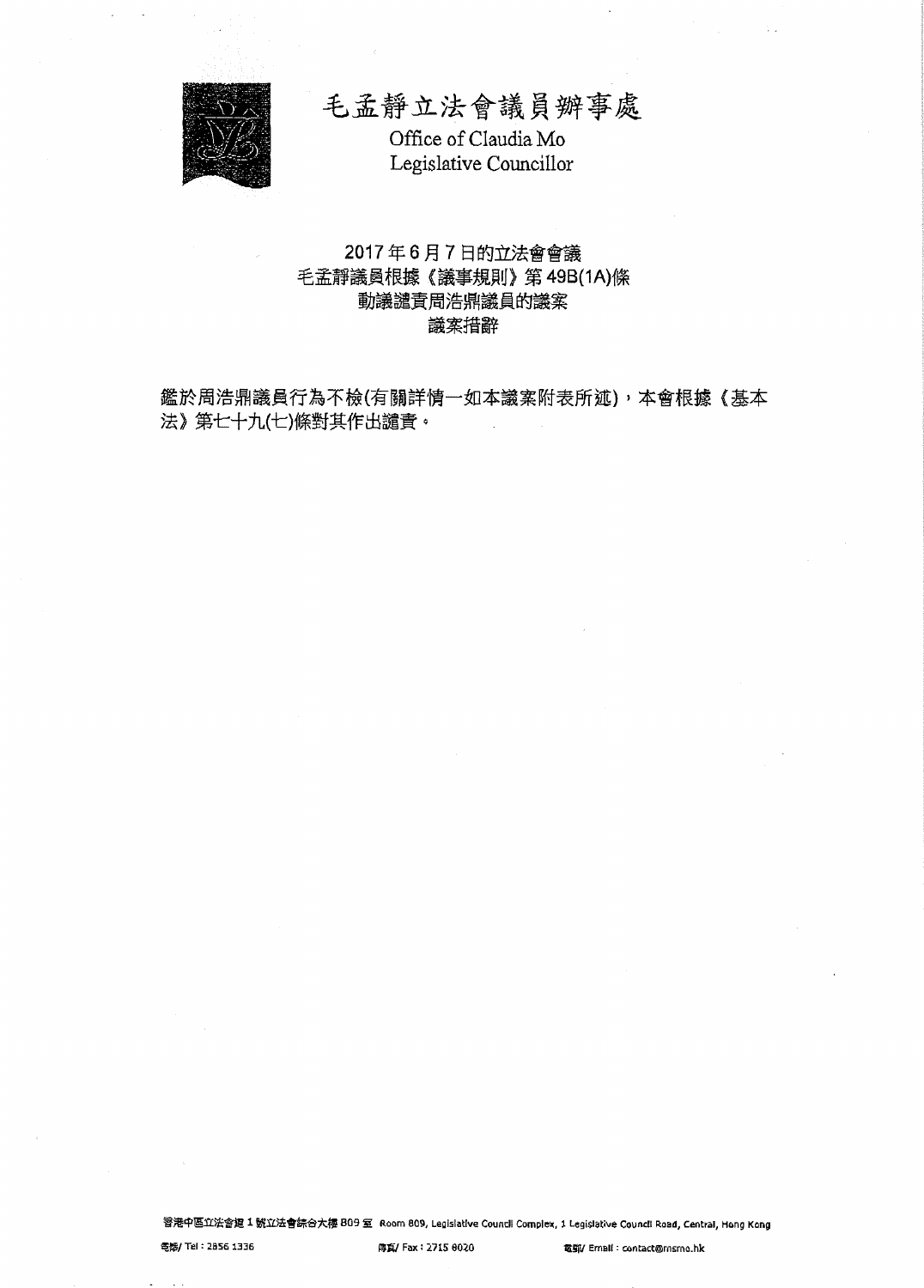

毛孟靜立法會議員辦事處 Office of Claudia Mo Legislative Councillor

## 2017年6月7日的立法會會議 毛孟靜議員根據《議事規則》第49B(1A)條 動議譴責周浩鼎議員的議案 議案措辭

鑑於周浩鼎議員行為不檢(有關詳情一如本議案附表所述),本會根據《基本 法》第七十九(七)條對其作出譴責。

智港中區立法會超 1 號立法會綜合大樓 809 室 Room 809, Legislative Countil Complex, 1 Legislative Countil Road, Central, Hong Kong